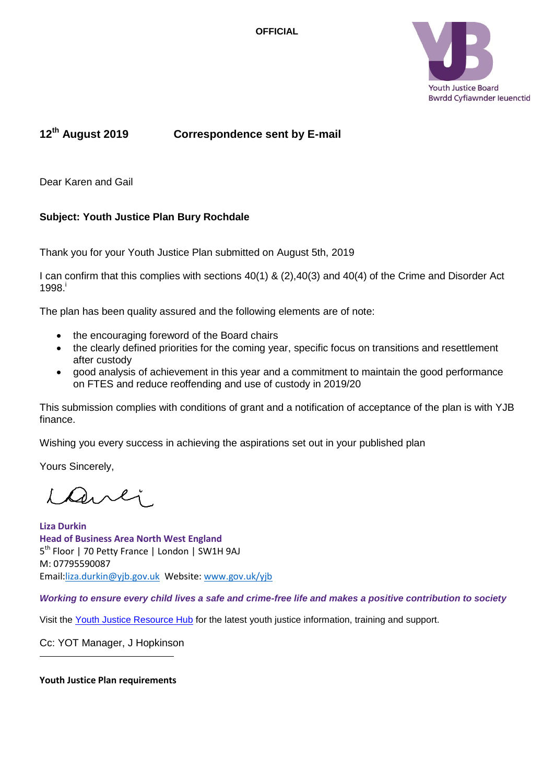**OFFICIAL** 



# **12th August 2019 Correspondence sent by E-mail**

Dear Karen and Gail

# **Subject: Youth Justice Plan Bury Rochdale**

Thank you for your Youth Justice Plan submitted on August 5th, 2019

I can confirm that this complies with sections 40(1) & (2),40(3) and 40(4) of the Crime and Disorder Act 1998. i

The plan has been quality assured and the following elements are of note:

- the encouraging foreword of the Board chairs
- the clearly defined priorities for the coming year, specific focus on transitions and resettlement after custody
- good analysis of achievement in this year and a commitment to maintain the good performance on FTES and reduce reoffending and use of custody in 2019/20

This submission complies with conditions of grant and a notification of acceptance of the plan is with YJB finance.

Wishing you every success in achieving the aspirations set out in your published plan

Yours Sincerely,

danli

**Liza Durkin Head of Business Area North West England** 5<sup>th</sup> Floor | 70 Petty France | London | SW1H 9AJ M: 07795590087 Email[:liza.durkin@yjb.gov.uk](mailto:liza.durkin@yjb.gov.uk) Website: [www.gov.uk/yjb](http://www.gov.uk/yjb)

*Working to ensure every child lives a safe and crime-free life and makes a positive contribution to society*

Visit the [Youth Justice Resource Hub](https://yjresourcehub.uk/) for the latest youth justice information, training and support.

Cc: YOT Manager, J Hopkinson

**Youth Justice Plan requirements**

l